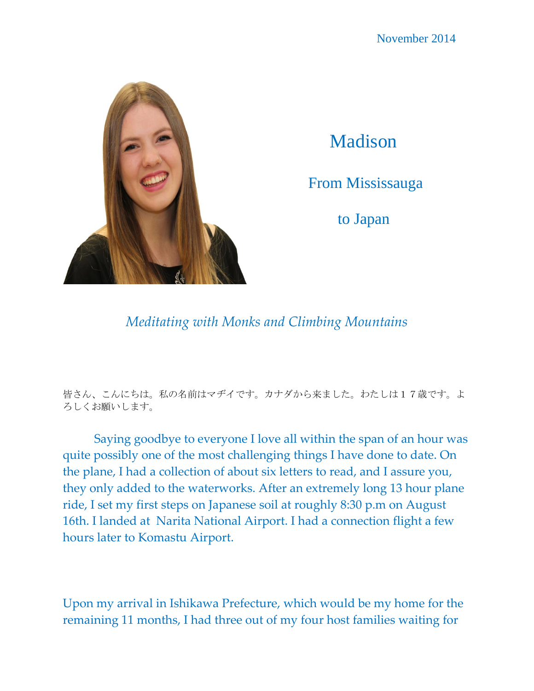

Madison

From Mississauga

to Japan

*Meditating with Monks and Climbing Mountains*

皆さん、こんにちは。私の名前はマヂイです。カナダから来ました。わたしは17歳です。よ ろしくお願いします。

Saying goodbye to everyone I love all within the span of an hour was quite possibly one of the most challenging things I have done to date. On the plane, I had a collection of about six letters to read, and I assure you, they only added to the waterworks. After an extremely long 13 hour plane ride, I set my first steps on Japanese soil at roughly 8:30 p.m on August 16th. I landed at Narita National Airport. I had a connection flight a few hours later to Komastu Airport.

Upon my arrival in Ishikawa Prefecture, which would be my home for the remaining 11 months, I had three out of my four host families waiting for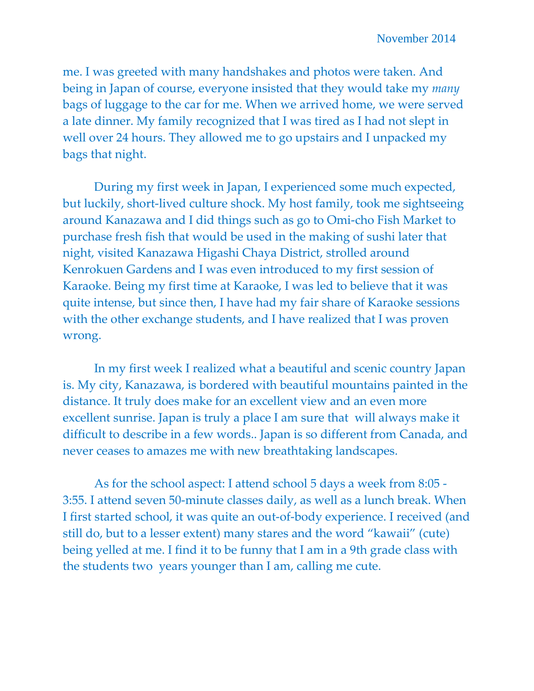me. I was greeted with many handshakes and photos were taken. And being in Japan of course, everyone insisted that they would take my *many* bags of luggage to the car for me. When we arrived home, we were served a late dinner. My family recognized that I was tired as I had not slept in well over 24 hours. They allowed me to go upstairs and I unpacked my bags that night.

During my first week in Japan, I experienced some much expected, but luckily, short-lived culture shock. My host family, took me sightseeing around Kanazawa and I did things such as go to Omi-cho Fish Market to purchase fresh fish that would be used in the making of sushi later that night, visited Kanazawa Higashi Chaya District, strolled around Kenrokuen Gardens and I was even introduced to my first session of Karaoke. Being my first time at Karaoke, I was led to believe that it was quite intense, but since then, I have had my fair share of Karaoke sessions with the other exchange students, and I have realized that I was proven wrong.

In my first week I realized what a beautiful and scenic country Japan is. My city, Kanazawa, is bordered with beautiful mountains painted in the distance. It truly does make for an excellent view and an even more excellent sunrise. Japan is truly a place I am sure that will always make it difficult to describe in a few words.. Japan is so different from Canada, and never ceases to amazes me with new breathtaking landscapes.

As for the school aspect: I attend school 5 days a week from 8:05 - 3:55. I attend seven 50-minute classes daily, as well as a lunch break. When I first started school, it was quite an out-of-body experience. I received (and still do, but to a lesser extent) many stares and the word "kawaii" (cute) being yelled at me. I find it to be funny that I am in a 9th grade class with the students two years younger than I am, calling me cute.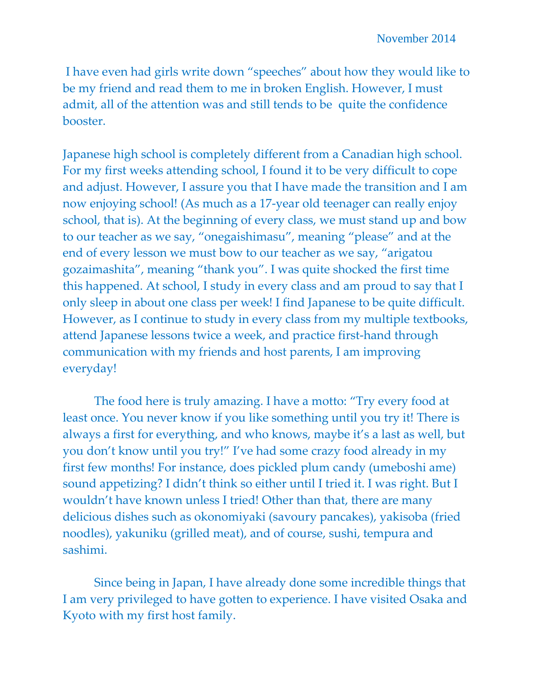I have even had girls write down "speeches" about how they would like to be my friend and read them to me in broken English. However, I must admit, all of the attention was and still tends to be quite the confidence booster.

Japanese high school is completely different from a Canadian high school. For my first weeks attending school, I found it to be very difficult to cope and adjust. However, I assure you that I have made the transition and I am now enjoying school! (As much as a 17-year old teenager can really enjoy school, that is). At the beginning of every class, we must stand up and bow to our teacher as we say, "onegaishimasu", meaning "please" and at the end of every lesson we must bow to our teacher as we say, "arigatou gozaimashita", meaning "thank you". I was quite shocked the first time this happened. At school, I study in every class and am proud to say that I only sleep in about one class per week! I find Japanese to be quite difficult. However, as I continue to study in every class from my multiple textbooks, attend Japanese lessons twice a week, and practice first-hand through communication with my friends and host parents, I am improving everyday!

The food here is truly amazing. I have a motto: "Try every food at least once. You never know if you like something until you try it! There is always a first for everything, and who knows, maybe it's a last as well, but you don't know until you try!" I've had some crazy food already in my first few months! For instance, does pickled plum candy (umeboshi ame) sound appetizing? I didn't think so either until I tried it. I was right. But I wouldn't have known unless I tried! Other than that, there are many delicious dishes such as okonomiyaki (savoury pancakes), yakisoba (fried noodles), yakuniku (grilled meat), and of course, sushi, tempura and sashimi.

Since being in Japan, I have already done some incredible things that I am very privileged to have gotten to experience. I have visited Osaka and Kyoto with my first host family.